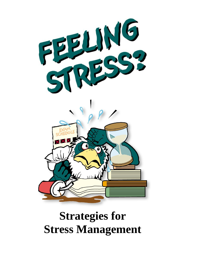

# **Strategies for Stress Management**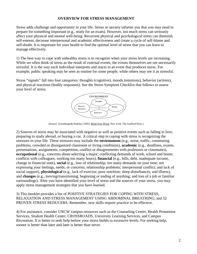#### **OVERVIEW FOR STRESS MANAGEMENT**

Stress adds challenge and opportunity in your life. Stress or anxiety informs you that you may need to prepare for something important (e.g., study for an exam). However, too much stress can seriously affect your physical and mental well-being. Recurrent physical and psychological stress can diminish self-esteem, decrease interpersonal and academic effectiveness and create a cycle of self-blame and self-doubt. It is important for your health to find the optimal level of stress that you can learn to manage effectively.

1) The best way to cope with unhealthy stress is to recognize when your stress levels are increasing. While we often think of stress as the result of external events, the events themselves are not necessarily stressful. It is the way each individual interprets and reacts to an event that produces stress. For example, public speaking may be seen as routine for some people, while others may see it as stressful.

Stress "signals" fall into four categories: thoughts (cognitive), moods (emotions), behavior (actions), and physical reactions (bodily responses). See the Stress Symptom Checklist that follows to assess your level of stress.



(Source: Greenberger& Padesky (1995). Mind Over Mood. New York: The Guilford Press.)

2) Sources of stress may be associated with negative as well as positive events such as falling in love, preparing to study abroad, or buying a car. A critical step in coping with stress is recognizing the stressors in your life. These stressors may include the **environment** (e.g., noise, traffic, commuting problems, crowded or disorganized classroom or living conditions), **academic** (e.g., deadlines, exams, presentations, assignments, competition, conflict or disagreements with professors or classmates), **occupational** (e.g., concerns about selecting a major; conflicting demands of work, school and home; conflicts with colleagues; working too many hours), **financial** (e.g., bills, debt, inadequate income, change in financial state), **social** (e.g., loss of relationship; too many demands on your time; not expressing your feelings, needs, or concerns; relationship problems; interpersonal conflict; and lack of social support), **physiological** (e.g., lack of exercise; poor nutrition; sleep disturbances; and illness), and **changes** (e.g., moving/transitioning; beginning or ending of anything; and loss of a job or familiar surroundings). After you have identified your level of stress and the sources of your stress, you may apply stress management strategies that you have learned.

3) This booklet provides a list of POSITIVE STRATEGIES FOR COPING WITH STRESS, RELAXATION AND STRESS MANAGEMENT USING ABDOMINAL BREATHING, and 52 PROVEN STRESS REDUCERS. Remember, new skills require practice to be effective.

4) For assistance, consider UNCW campus resources such as the Counseling Center, Health Promotion Services, Student Health Center, CROSSROADS, University Learning Services, and Campus Recreation. It is better to seek help before your stress builds to excessive levels. For seeking help, sooner is better than later and later is better than never.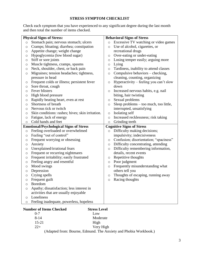#### **STRESS SYMPTOM CHECKLIST**

Check each symptom that you have experienced to any significant degree during the last month and then total the number of items checked.

| <b>Physical Signs of Stress:</b>               |                                                       | <b>Behavioral Signs of Stress</b> |                                        |  |
|------------------------------------------------|-------------------------------------------------------|-----------------------------------|----------------------------------------|--|
| $\circ$                                        | Stomach pain; nervous stomach; ulcers                 | $\circ$                           | Excessive TV watching or video games   |  |
| $\circ$                                        | Cramps; bloating; diarrhea; constipation              | $\circ$                           | Use of alcohol, cigarettes, or         |  |
| O                                              | Appetite change; weight change                        |                                   | recreational drugs                     |  |
| $\circ$                                        | Hypoglycemia (low blood sugar)                        | $\circ$                           | Over-eating or under-eating            |  |
| $\circ$                                        | Stiff or sore joints                                  | $\circ$                           | Losing temper easily; arguing more     |  |
| $\circ$                                        | Muscle tightness, cramps, spasms                      | $\circ$                           | Lying                                  |  |
| $\circ$                                        | Neck, shoulder, chest, or back pain                   | $\circ$                           | Tardiness, inability to attend classes |  |
| $\circ$                                        | Migraines; tension headaches; tightness,              | $\circ$                           | Compulsive behaviors – checking,       |  |
|                                                | pressure in head                                      |                                   | cleaning, counting, organizing         |  |
| O                                              | Frequent colds or illness; persistent fever           | $\circ$                           | Hyperactivity – feeling you can't slow |  |
| O                                              | Sore throat, cough                                    |                                   | down                                   |  |
| $\circ$                                        | Fever blisters                                        | $\circ$                           | Increased nervous habits, e.g. nail    |  |
| O                                              | High blood pressure                                   |                                   | biting, hair twisting                  |  |
| $\circ$                                        | Rapidly beating heart, even at rest                   | $\circ$                           | Sexual problems                        |  |
| O                                              | Shortness of breath                                   | $\circ$                           | Sleep problems – too much, too little, |  |
| O                                              | Nervous tick or twitch                                |                                   | interrupted, unsatisfying              |  |
| O                                              | Skin conditions: rashes; hives; skin irritation.      | $\circ$                           | Isolating self                         |  |
| $\circ$                                        | Fatigue, lack of energy                               | $\circ$                           | Increased recklessness; risk taking    |  |
| $\circ$                                        | Cold hands and feet                                   | $\circ$                           | Grinding teeth                         |  |
| <b>Emotional/Psychological Signs of Stress</b> |                                                       | <b>Cognitive Signs of Stress</b>  |                                        |  |
| $\circ$                                        | Feeling overloaded or overwhelmed                     | $\circ$                           | Difficulty making decisions;           |  |
| $\circ$                                        | Feeling "out of control"                              |                                   | impulsivity; indecisiveness            |  |
| O                                              | Frequent worrying or obsessing                        | O                                 | Confusion; disorientation; "spaciness" |  |
| $\circ$                                        | Anxiety                                               | $\circ$                           | Difficulty concentrating, attending    |  |
| $\circ$                                        | Unexplained/irrational fears                          | $\circ$                           | Difficulty remembering information,    |  |
| O                                              | Frequent or recurring nightmares                      |                                   | details, recent events                 |  |
| $\circ$                                        | Frequent irritability; easily frustrated              | O                                 | Repetitive thoughts                    |  |
| $\circ$                                        | Feeling angry and resentful                           | $\circ$                           | Poor judgment                          |  |
| $\circ$                                        | Mood swings                                           | $\circ$                           | Frequently misunderstanding what       |  |
| $\circ$                                        |                                                       |                                   | others tell you                        |  |
|                                                | Depression                                            |                                   |                                        |  |
| $\circ$                                        | Crying spells                                         | $\circ$                           | Thoughts of escaping, running away     |  |
| O                                              | Frequent guilt                                        | $\circ$                           | Racing thoughts                        |  |
| O                                              | <b>Boredom</b>                                        |                                   |                                        |  |
| O                                              | Apathy; dissatisfaction; less interest in             |                                   |                                        |  |
|                                                | activities that are usually enjoyable                 |                                   |                                        |  |
| $\circ$                                        | Loneliness<br>Feeling inadequate, powerless, hopeless |                                   |                                        |  |

#### **Number of Items Checked Stress Level**

| $0 - 7$               |          |    | Low            |                               |  |
|-----------------------|----------|----|----------------|-------------------------------|--|
| $8 - 14$              |          |    | Moderate       |                               |  |
| $15 - 21$             |          |    | High           |                               |  |
| $22+$                 |          |    | Very High      |                               |  |
| $\sqrt{1}$ $\sqrt{1}$ | <u>n</u> | T1 | $\blacksquare$ | $1 \text{ N} 1$ $1 \text{ N}$ |  |

(Adapted from: Bourne, Edmund. The Anxiety and Phobia Workbook.)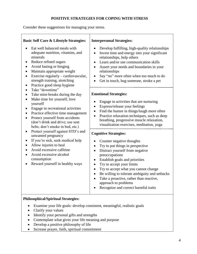### **POSITIVE STRATEGIES FOR COPING WITH STRESS**

Consider these suggestions for managing your stress.

| <b>Basic Self Care &amp; Lifestyle Strategies:</b>                                                                                                                                                                                                                        | <b>Interpersonal Strategies:</b>                                                                                                                                                                                                                                                                                                                                                                                                                                                 |  |  |  |
|---------------------------------------------------------------------------------------------------------------------------------------------------------------------------------------------------------------------------------------------------------------------------|----------------------------------------------------------------------------------------------------------------------------------------------------------------------------------------------------------------------------------------------------------------------------------------------------------------------------------------------------------------------------------------------------------------------------------------------------------------------------------|--|--|--|
| Eat well balanced meals with<br>adequate nutrition, vitamins, and<br>minerals<br>Reduce refined sugars<br>Avoid fasting or binging<br>Maintain appropriate weight<br>Exercise regularly – cardiovascular,<br>strength training, stretching<br>Practice good sleep hygiene | Develop fulfilling, high-quality relationships<br>$\bullet$<br>Invest time and energy into your significant<br>$\bullet$<br>relationships, help others<br>Learn and/or use communication skills<br>$\bullet$<br>Assert your needs and boundaries in your<br>relationships<br>Say "no" more often when too much to do<br>$\bullet$<br>Get in touch, hug someone, stroke a pet<br>$\bullet$                                                                                        |  |  |  |
| Take "downtime"                                                                                                                                                                                                                                                           | <b>Emotional Strategies:</b>                                                                                                                                                                                                                                                                                                                                                                                                                                                     |  |  |  |
| Take mini-breaks during the day<br>Make time for yourself, love<br>yourself<br>Engage in recreational activities<br>Practice effective time management<br>Protect yourself from accidents<br>(don't drink and drive; use seat<br>belts; don't smoke in bed, etc.)         | Engage in activities that are nurturing<br>$\bullet$<br>Express/release your feelings<br>$\bullet$<br>Find the humor in things/laugh more often<br>$\bullet$<br>Practice relaxation techniques, such as deep<br>$\bullet$<br>breathing, progressive muscle relaxation,<br>visualization exercises, meditation, yoga                                                                                                                                                              |  |  |  |
| Protect yourself against STD's and<br>unwanted pregnancy                                                                                                                                                                                                                  | <b>Cognitive Strategies:</b>                                                                                                                                                                                                                                                                                                                                                                                                                                                     |  |  |  |
| If you're sick, seek medical help<br>$\bullet$<br>Allow injuries to heal<br>Avoid excessive caffeine<br>Avoid excessive alcohol<br>consumption<br>Reward yourself in healthy ways                                                                                         | Counter negative thoughts<br>$\bullet$<br>Try to put things in perspective<br>$\bullet$<br>Distract yourself from negative<br>$\bullet$<br>preoccupations<br>Establish goals and priorities<br>$\bullet$<br>Try to accept your limits<br>$\bullet$<br>Try to accept what you cannot change<br>$\bullet$<br>Be willing to tolerate ambiguity and setbacks<br>$\bullet$<br>Take a proactive, rather than reactive,<br>approach to problems<br>Recognize and correct harmful traits |  |  |  |

### **Philosophical/Spiritual Strategies:**

- Examine your life goals: develop consistent, meaningful, realistic goals
- Clarify your values
- Identify your personal gifts and strengths
- Contemplate what gives your life meaning and purpose
- Develop a positive philosophy of life
- Increase prayer, faith, spiritual commitment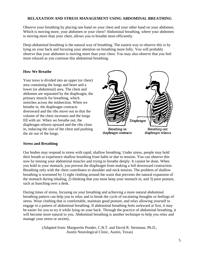#### **RELAXATION AND STRESS MANAGEMENT USING ABDOMINAL BREATHING**

Observe your breathing by placing one hand on your chest and your other hand on your abdomen. Which is moving more, your abdomen or your chest? Abdominal breathing, where your abdomen is moving more than your chest, allows you to breathe most efficiently.

Deep abdominal breathing is the natural way of breathing. The easiest way to observe this is by lying on your back and focusing your attention on breathing more fully. You will probably observe that your abdomen is moving more than your chest. You may also observe that you feel more relaxed as you continue this abdominal breathing.

#### **How We Breathe**

Your torso is divided into an upper (or chest) area containing the lungs and heart and a lower (or abdominal) area. The chest and abdomen are separated by the diaphragm, the primary muscle for breathing, which stretches across the midsection. When we breathe in, the diaphragm contracts downward and the ribs move out so that the volume of the chest increases and the lungs fill with air. When we breathe out, the diaphragm relaxes upward and the ribs close in, reducing the size of the chest and pushing the air out of the lungs.



#### **Stress and Breathing**

Our bodies may respond to stress with rapid, shallow breathing. Under stress, people may hold their breath or experience shallow breathing from habit or due to tension. You can observe this now by tensing your abdominal muscles and trying to breathe deeply. It cannot be done. When you hold in your stomach, you prevent the diaphragm from making a full downward contraction. Breathing only with the chest contributes to shoulder and neck tension. The problem of shallow breathing is worsened by 1) tight clothing around the waist that prevents the natural expansion of the stomach during inhaling, 2) thinking that you must keep your stomach in, and 3) poor posture, such as hunching over a desk.

During times of stress, focusing on your breathing and achieving a more natural abdominal breathing pattern can help you to relax and to break the cycle of escalating thoughts or feelings of stress. Wear clothing that is comfortable, maintain good posture, and relax allowing yourself to engage in a pattern of abdominal breathing. If abdominal breathing feels awkward at first, it may be easier for you to try it while lying on your back. Through the practice of abdominal breathing, it will become more natural to you. Abdominal breathing is another technique to help you relax and manage your stress or anxiety.

> (Adapted from: Marguerite Ponder, C.B.T. and David R. Steinman, Ph.D., Austin Neurological Clinic, Austin, Texas)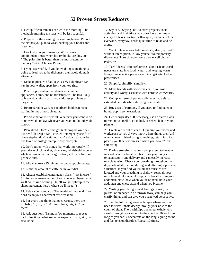## **52 Proven Stress Reducers**

1. Get up fifteen minutes earlier in the morning. The inevitable morning mishaps will be less stressful.

2. Prepare for the morning the evening before. Put out the clothes you plan to wear, pack up your books and notes, etc.

3. Don't rely on your memory. Write down appointment times, when library books are due, etc. ("The palest ink is better than the most retentive memory." - Old Chinese Proverb)

4. Lying is stressful. If you know doing something is going to lead you to be dishonest, then avoid doing it altogether.

5. Make duplicates of all keys. Carry a duplicate car key in your wallet, apart from your key ring.

6. Practice preventive maintenance. Your car, appliances, home, and relationships will be less likely to break down/fall apart if you address problems as they arise.

7. Be prepared to wait. A paperback book can make waiting in line almost pleasant.

8. Procrastination is stressful. Whatever you want to do tomorrow, do today; whatever you want to do today, do it now.

9. Plan ahead. Don't let the gas tank drop below onequarter full; keep a well-stocked "emergency shelf" of home staples; don't wait until you're down to your last bus token or postage stamp to buy more; etc.

10. Don't put up with things that work improperly. If your alarm clock, wallet, shoelaces, windshield wiperswhatever-are a constant aggravation, get them fixed or get new ones.

11. Allow an extra 15 minutes to get to appointments.

12. Limit the amount of caffeine in your diet.

13. Always establish contingency plans, "just in case." ("If for some reason either of us is delayed, here's what we'll do..." kind of thing. Or, "If we get split up in the shopping center, here's where we'll meet..")

14. Relax your standards. The world will not end if you don't clean your apartment this weekend.

15. For every one thing that goes wrong, there are probably 10, 50, or 100 things that go right. Count them!

16. Ask questions. Taking a few moments to repeat back directions, what someone expects of you, etc., can save hours.

17. Say "no." Saying "no" to extra projects, social activities, and invitations you don't have the time or energy for takes practice, self-respect, and a belief that everyone, everyday, needs quiet time to relax and be alone.

18. Want to take a long bath, meditate, sleep, or read without interruption? Allow yourself to temporarily disconnect. Turn off your home phone, cell phone, pager, etc.

19. Turn "needs" into preferences. Our basic physical needs translate into food, water, and keeping warm. Everything else is a preference. Don't get attached to preferences.

20. Simplify, simplify, simplify...

21. Make friends with non-worriers. If you *want*  anxiety and worry, associate with chronic worrywarts.

22. Get up and stretch periodically when you sit for extended periods while studying or at work.

23. Buy a set of earplugs. If you need to find quiet at home, pop in some earplugs.

24. Get enough sleep. If necessary, use an alarm clock to remind yourself to go to bed, or schedule it in your planner.

25. Create order out of chaos. Organize your home and workspace so you always know where things are. And when you're finished using something, return it to its place - you'll be less stressed when you *haven't* lost something.

26. During stressful situations, people tend to breathe in short, shallow breaths. This limits your body's oxygen supply and delivery and can easily increase muscle tension. Check your breathing throughout the day-particularly before, during, and after high- pressure situations. If you find your stomach muscles are knotted and your breathing is shallow, relax all your muscles and take several deep, slow breaths from your abdomen. Note, how when you're relaxed, both your abdomen and chest expand when you breathe.

27. Writing your thoughts and feelings down (in a journal or on paper to be thrown away) can help you clarify things and can give you a renewed perspective.

28. Try the following yoga technique whenever you need to relax. Inhale deeply through your nose to the count of eight. Then, with lips puckered, exhale very slowly through your mouth to the count of 16, or for as long as you can. Concentrate on the long sighing sound and feel tension dissolve. Repeat 10 times.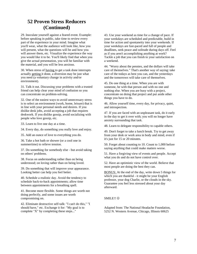# **52 Proven Stress Reducers (Continued)**

29. Inoculate yourself against a feared event. Example: before speaking in public, take time to review every part of the experience in your mind. Imagine what you'll wear, what the audience will look like, how you will present, what the questions will be and how you will answer them, etc. Visualize the experience the way you would like it to be. You'll likely find that when you give the actual presentation, you will be familiar with the material, and you will be less anxious.

30. When stress of having to get a task done interrupts actually getting it done, a diversion may be just what you need (a voluntary change in activity and/or environment).

31. Talk it out. Discussing your problems with a trusted friend can help clear your mind of confusion so you can concentrate on problem-solving.

32. One of the easiest ways to avoid unnecessary stress is to select an environment (work, home, leisure) that is in line with your personal needs and desires. If you dislike desk jobs, avoid accepting a job that requires deskwork. If you dislike gossip, avoid socializing with people who love gossip, etc.

33. Learn to live one day at a time.

34. Every day, do something you really love and enjoy.

35. Add an ounce of love to everything you do.

36. Take a hot bath or shower (or a cool one in summertime) to relieve tension.

37. Do something for somebody else - but avoid taking on others' problems.

38. Focus on understanding rather than on being understood; on loving rather than on being loved.

39. Do something that will improve your appearance. Looking better can help you feel better.

40. Schedule a realistic day. Avoid the tendency to schedule back-to-back appointments; allow time between appointments for a breathing spell.

41. Become more flexible. Some things are worth not doing perfectly, and some issues are worth compromising on.

42. Eliminate destructive self-talk: "I can't do this," "I should have," etc. Exchange it for: "My goal is to complete "X" by completing these steps..."

43. Use your weekend as time for a change of pace. If your weekdays are scheduled and predictable, build in time for action and spontaneity into your weekends. If your weekdays are fast-paced and full of people and deadlines, seek peace and solitude during days off. Feel as if you aren't accomplishing anything at work? Tackle a job that you can finish to your satisfaction on a weekend.

44. "Worry about the pennies, and the dollars will take care of themselves." That's another way of saying: take care of the todays as best you can, and the yesterdays and the tomorrows will take care of themselves.

45. Do one thing at a time. When you are with someone, be with that person and with no one and nothing else. When you are busy with a project, concentrate on doing that project and put aside other things you have to do.

46. Allow yourself time, every day, for privacy, quiet, and introspection.

47. If you are faced with an unpleasant task, do it early in the day to get it over with; you will no longer have anxiety surrounding that task.

48. Learn to delegate responsibility to capable others.

49. Don't forget to take a lunch break. Try to get away from your desk or work area in body and mind, even if it's just for 15 or 20 minutes.

50. Forget about counting to 10. Count to 1,000 before saying anything that could make matters worse.

51. Have a forgiving view of events and people. Accept what you do and do not have control over.

52. Have an optimistic view of the world. Believe that most people are doing the best they can.

BONUS: At the end of the day, write down 5 things for which you are thankful - it might be your English professor, your dog Charlie, or the clouds in the sky. Guarantee you feel less stressed about your day afterward.

SMILE!! ©

Adapted from: The National Headache Foundation, 5252 N. Western Avenue, Chicago, Illinois 60625